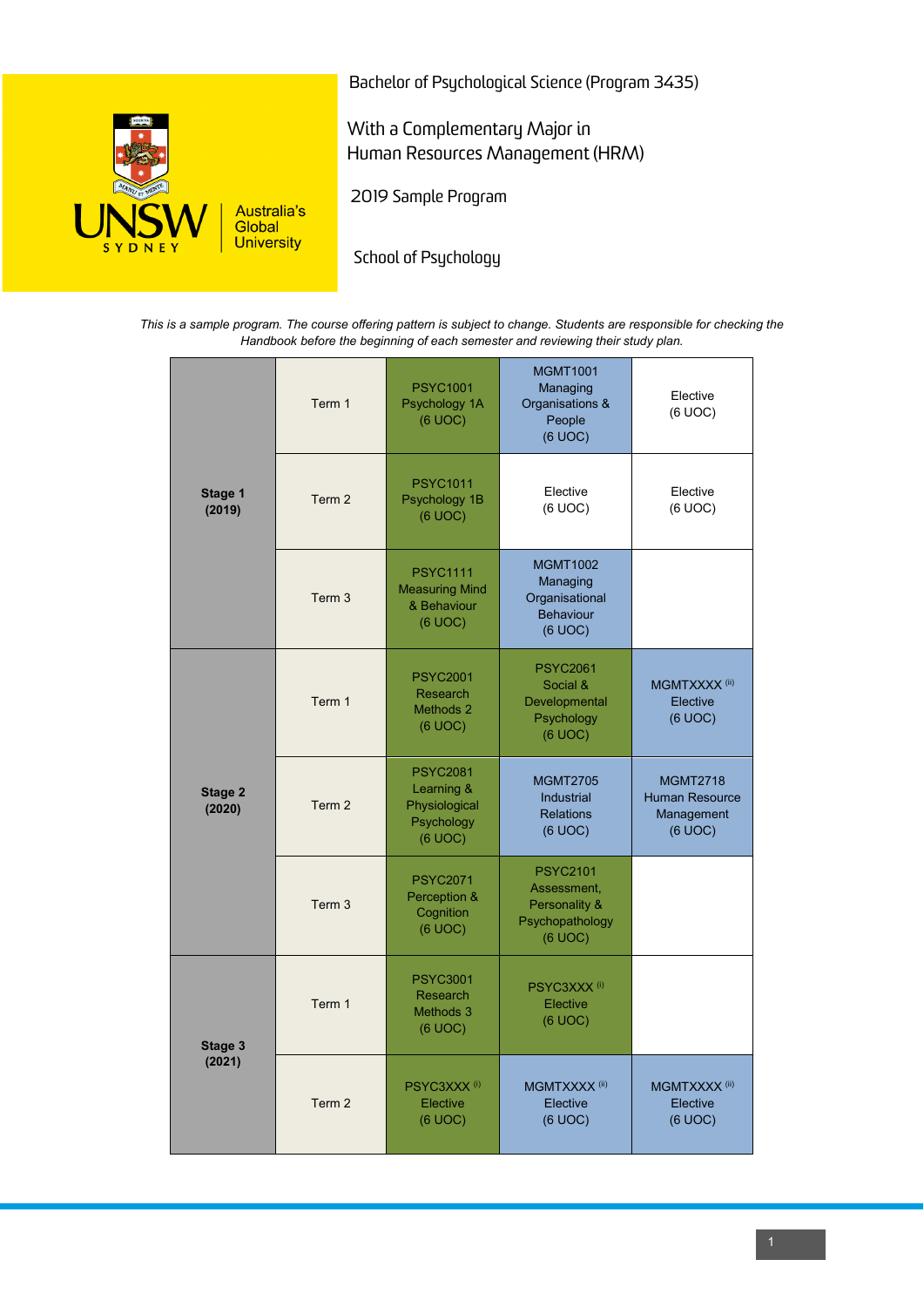

Bachelor of Psychological Science (Program 3435)

With a Complementary Major in Human Resources Management (HRM)

2019 Sample Program

School of Psychology

*This is a sample program. The course offering pattern is subject to change. Students are responsible for checking the Handbook before the beginning of each semester and reviewing their study plan.*

| Stage 1<br>(2019) | Term 1            | <b>PSYC1001</b><br>Psychology 1A<br>(6 UOC)                             | <b>MGMT1001</b><br>Managing<br>Organisations &<br>People<br>(6 UOC)           | Elective<br>(6 UOC)                                               |
|-------------------|-------------------|-------------------------------------------------------------------------|-------------------------------------------------------------------------------|-------------------------------------------------------------------|
|                   | Term <sub>2</sub> | <b>PSYC1011</b><br>Psychology 1B<br>(6 UOC)                             | Elective<br>(6 UOC)                                                           | Elective<br>(6 UOC)                                               |
|                   | Term <sub>3</sub> | <b>PSYC1111</b><br><b>Measuring Mind</b><br>& Behaviour<br>(6 UOC)      | <b>MGMT1002</b><br>Managing<br>Organisational<br><b>Behaviour</b><br>(6 UOC)  |                                                                   |
| Stage 2<br>(2020) | Term 1            | <b>PSYC2001</b><br>Research<br>Methods 2<br>(6 UOC)                     | <b>PSYC2061</b><br>Social &<br>Developmental<br>Psychology<br>(6 UOC)         | MGMTXXXX <sup>(ii)</sup><br>Elective<br>(6 UOC)                   |
|                   | Term 2            | <b>PSYC2081</b><br>Learning &<br>Physiological<br>Psychology<br>(6 UOC) | <b>MGMT2705</b><br>Industrial<br><b>Relations</b><br>(6 UOC)                  | <b>MGMT2718</b><br><b>Human Resource</b><br>Management<br>(6 UOC) |
|                   | Term 3            | <b>PSYC2071</b><br>Perception &<br>Cognition<br>(6 UOC)                 | <b>PSYC2101</b><br>Assessment,<br>Personality &<br>Psychopathology<br>(6 UOC) |                                                                   |
| Stage 3<br>(2021) | Term 1            | <b>PSYC3001</b><br>Research<br>Methods 3<br>(6 UOC)                     | PSYC3XXX <sup>(i)</sup><br>Elective<br>(6 UOC)                                |                                                                   |
|                   | Term 2            | PSYC3XXX <sup>(i)</sup><br>Elective<br>(6 UOC)                          | MGMTXXXX <sup>(ii)</sup><br>Elective<br>(6 UOC)                               | MGMTXXXX <sup>(ii)</sup><br>Elective<br>(6 UOC)                   |